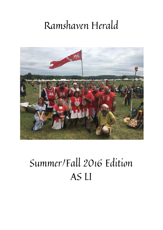# Ramshaven Herald



# Summer/Fall 2016 Edition AS LI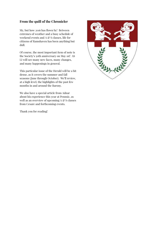## From the quill of the Chronicler

My, but how 2016 has flown by! Between extremes of weather and a busy schedule of weekend events and A  $\mathcal C$  S classes, life for citizens of Ramshaven has been anything but dull.

Of course, the most important item of note is the Society's 50th anniversary on May 1st! AS LI will see many new faces, many changes, and many happenings in general.

This particular issue of the Herald will be a bit dense, as it covers the summer and fall seasons (June through October). We'll review, at a high level, the highlights of the past few months in and around the Barony.

We also have a special article from Adnar about his experience this year at Pennsic, as well as an overview of upcoming  $A \otimes S$  classes from Cesare and forthcoming events.

Thank you for reading!

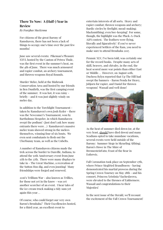# There To Now: A (Half-) Year in Review

By Fearghas MacKenna

For citizens of the great Barony of Ramshaven, there has not been a lack of things to occupy one's time over the past few months!

June saw several events: Pikeman's Pleasure XXVI, hosted by the Canton of Petrea Thule, was the first event in the summer's heat, on the 4th of June. There was much armoured and rapier combat, an archery tournament, and thrown weapons Royal Rounds.

Murder Melee, held at the Binbrook Conservation Area and hosted by our friends in Ben Dunfirth, was the first camping event of the summer. It was hot, it was rainy brieḰy - and it was just slightly windy on melee day.

In addition to the Torchlight Tournament taken by Ramshaven's own Josh Ryder - there was the Newcomer's Tournament, won by Bartholmus Hespeler, in which Ramshaven swept the podium! (Just don't ask how many entrants there were…) Ramshaven's massive melee team showed strong in the melees themselves, winning four of six bouts. We even sent combatants to flesh out the Uberbunny team, as well as the Unbelts.

A number of Ramshaven citizens made the trek across the border to Danville, Indiana, to attend the 50th Anniversary event from June 17th to the 27th. There were many displays to take in - The Great Machine, a recreation of the Sutton Hoo dig, and even jousting! Many friendships were forged and renewed.

2016's Trillium War - also known as Trillies, for those not yet in the know - was yet another scorcher of an event. I hear tales of the ice cream truck making a tidy sum yet again this year…

Of course, who could forget our very own Baron's Brouhaha? Their Excellencies hosted, for a third year, an excellent event to

entertain interests of all sorts. Heavy and rapier combat; thrown weapons and archery; Bardic circles by firelight; mead-making; blacksmithing; even bee-keeping! For some, though, the highlight was the Pluck-A-Duck A&S contest. The feathers were flying, literally and figuratively! If you've never experienced Settlers of the Ram, you need to make sure to attend Brouhaha 2017.

Pennsic XLV, I've been told, was certainly one for the record books. Despite many acts of skill, bravery, and chivalry, in the end, the heat scored more war points than either East or Middle… However, on August 10th, Duchess Rylyn reported that Up The Hill had swept the banners - Baron Penda for Heavy, Jobjorn for rapier, and Daniel for thrown weapons! Wassail and well done!



As the heat of summer died down (or, at the very least, should have died down) and many Scadians opted to take mundane vacations, several events were held outside of the Barony: Summer Siege in Skraeling Althing; Baron's Howe in The Shire of BrennesteinVatn; Feast of the Bear in Eoforwic.

Fall Coronation took place on September 17th, where Prince Siegfried Brandboern - having demonstrated his martial prowess during the Spring Crown Tourney on May 28th - and his consort, Princess Xristinia Viacheslavova, were elevated to the thrones of Ealdormere. Wassail and congratulations to their Majesties!

In the next issue of the Herald, we'll recount the excitement of the Fall Crown Tournament!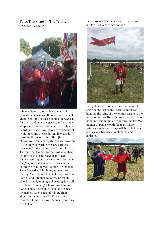#### Tales That Grow In The Telling

By Adnar Dionadair



While at Pennsic, for which so many of us make a pilgrimage, there are whispers of great feats, epic battles, and unsung sagas. I, for one, would not exaggerate, as I am but a simple and humble Irishman. I can only say I heard first-hand how Jobjorn wreaked havok while storming the castle, and how deadly were the throwing axes of Hori Jirou Masamura, again among the top axe throwers in the Knowne Worlde. We saw Baroness Wencenedl inducted into the Order of Thorbjorn's Hammer for her skill in archery. On the fields of battle, again and again, Ramshaven stepped forward, contributing to the glory of Ealdormere's victories in the South. We won the War Banner, a symbol of Their Majesties' faith in us, as an entire Barony. And I cannot help but relay how Our Baron Penda stepped forward, sword and shield in hand, lunging and beating down all foes before him, mightily smiting Edmund LongShanks, a veritable Giant (and so near invincible). Such a feat of valour, Their Majesties named him GiantSlayer, and rewarded him with a War Banner, wondrous to behold.

I say it so, not that tales grow in the telling, but for His Excellency's honour!



Lastly, I, Adnar Dionadair, was honoured to serve in one last round as the Commissar, handing the reins of the Commissariate to the next Commissar Ilsabeth (Amy Cooper). I was honoured and humbled to receive the last War Banner of Pennsic with the team whose primary aim is and always will be to help our armies, our friends, stay standing and hydrated.

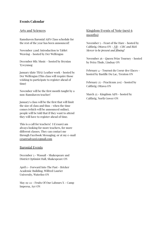#### Events Calendar

#### Arts and Sciences

Ramshaven Baronial A&S Class schedule for the rest of the year has been announced!

November 22nd: Introduction to Tablet Weaving – hosted by Der Welfengau

December 8th: Music – hosted by Bryniau Tywynnog

January (date TBA): Leather work - hosted by Der Welfengau (This class will require those wishing to participate to register ahead of time)

November will be the first month taught by a non-Ramshaven teacher!

January's class will be the first that will limit the size of class and thus - when the time comes (which will be announced online), people will be told that if they want to attend they will have to register ahead of time.

This is a call for teachers! I (Cesare) am always looking for more teachers, for more different classes. They can contact me through Facebook Messaging, or at my e-mail [cesaresalvazzi@gmail.com](mailto:cesaresalvazzi@gmail.com)

#### Baronial Events

December 3 - Wassail - Shakespeare and District Optimist Hall, Shakespeare ON

April 1 - Forward Into The Past - Bricker Academic Building, Wilfred Laurier University, Waterloo ON

May 19-22 - Fruits Of Our Labours X - Camp Impeesa, Ayr ON

## Kingdom Events of Note (next 6 months)

November 5 - Feast of the Hare - hosted by Calthrig, Ottawa ON - NB - CBC and Rick Mercer to be present and filming!

November 26 - Queen Prize Tourney - hosted by Petra Thule, Lindsay ON

February 4 - Tournoi du Coeur des Glaces hosted by Bastille Du Lac, Trenton ON

February 25 - Practicum 2017 - hosted by Calthrig, Ottawa ON

March 25 - Kingdom A&S - hosted by Calthrig, North Gower ON